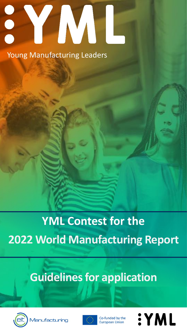# CO Young Manufacturing Leaders

# **YML Contest for the 2022 World Manufacturing Report**

# **Guidelines for application**



*lanufacturing* 



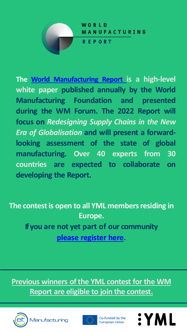

**The World [Manufacturing](https://worldmanufacturing.org/report/report-2021-digitally-enabled-circular-manufacturing/) Report is a high-level white paper published annually by the World Manufacturing Foundation and presented during the WM Forum. The 2022 Report will focus on** *Redesigning Supply Chains in the New Era of Globalisation* **and will present a forwardlooking assessment of the state of global manufacturing. Over 40 experts from 30 countries are expected to collaborate on developing the Report.**

**The contest is open to all YML members residing in Europe. Ifyou are not yet part of our community [please register here.](https://forms.gle/gSSjJuSxFyR7XQcbA)**

**Previous winners of the YML contest for the WM Report are eligible to join the contest.**







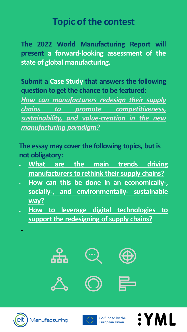# **Topic of the contest**

**The 2022 World Manufacturing Report will present a forward-looking assessment of the state of global manufacturing.**

**Submit a Case Study that answers the following question to get the chance to be featured:**

*How can manufacturers redesign their supply chains to promote competitiveness, sustainability, and value-creation in the new manufacturing paradigm?*

**The essay may cover the following topics, but is not obligatory:**

- **What are the main trends driving manufacturers to rethink their supply chains?**
- **How can this be done in an economically-, socially-, and environmentally- sustainable way?**
- **How to leverage digital technologies to support the redesigning of supply chains?**





1anufactı



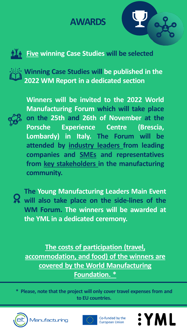### **AWARDS**





**Winning Case Studies will be published in the 2022 WM Report in a dedicated section**



**Winners will be invited to the 2022 World Manufacturing Forum which will take place on the 25th and 26th of November at the Porsche Experience Centre (Brescia, Lombardy) in Italy. The Forum will be attended by industry leaders from leading companies and SMEs and representatives from key stakeholders in the manufacturing community.**



**The Young Manufacturing Leaders Main Event will also take place on the side-lines of the WM Forum. The winners will be awarded at the YML in a dedicated ceremony.**

**The costs of participation (travel, accommodation, and food) of the winners are covered by the World Manufacturing Foundation. \***

**\* Please, note that the project will only cover travel expenses from and to EU countries.** 





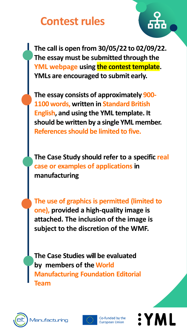# **Contest rules**

**The call is open from 30/05/22 to 02/09/22. The essay must be submitted through the YML webpage using the contest template. YMLs are encouraged to submit early.**

**The essay consists of approximately 900- 1100 words, written in Standard British English, and using the YML template. It should be written by a single YML member. References should be limited to five.**

**The Case Study should refer to a specific real case or examples of applications in manufacturing**

**The use of graphics is permitted (limited to one), provided a high-quality image is attached. The inclusion of the image is subject to the discretion of the WMF.**

**The Case Studies will be evaluated by members of the World Manufacturing Foundation Editorial Team**





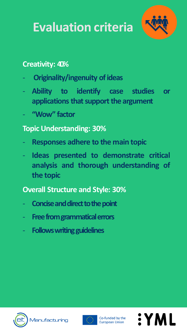# **Evaluation criteria**



#### **Creativity: 40%**

- **Originality/ingenuity of ideas**
- **Ability to identify case studies or applications that support the argument**
- **"Wow" factor**

#### **Topic Understanding: 30%**

- **Responses adhere to the main topic**
- **Ideas presented to demonstrate critical analysis and thorough understanding of the topic**

#### **Overall Structure and Style: 30%**

- **Concise and direct to the point**
- **Freefromgrammaticalerrors**
- **Follows writing guidelines**





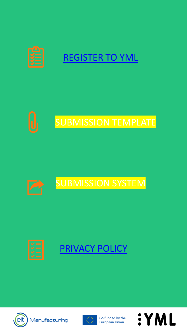







## [PRIVACY POLICY](https://youngmanufacturingleaders.org/privacy-policy/)



Manufacturing